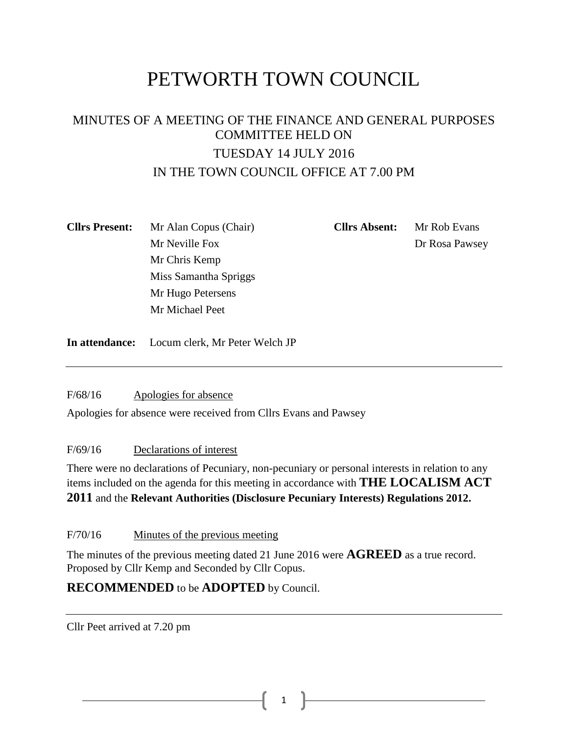# PETWORTH TOWN COUNCIL

### MINUTES OF A MEETING OF THE FINANCE AND GENERAL PURPOSES COMMITTEE HELD ON TUESDAY 14 JULY 2016 IN THE TOWN COUNCIL OFFICE AT 7.00 PM

| <b>Cllrs Present:</b> | Mr Alan Copus (Chair) | <b>Cllrs Absent:</b> | Mr Rob Evans   |
|-----------------------|-----------------------|----------------------|----------------|
|                       | Mr Neville Fox        |                      | Dr Rosa Pawsey |
|                       | Mr Chris Kemp         |                      |                |
|                       | Miss Samantha Spriggs |                      |                |
|                       | Mr Hugo Petersens     |                      |                |
|                       | Mr Michael Peet       |                      |                |
|                       |                       |                      |                |

**In attendance:** Locum clerk, Mr Peter Welch JP

F/68/16 Apologies for absence

Apologies for absence were received from Cllrs Evans and Pawsey

F/69/16 Declarations of interest

There were no declarations of Pecuniary, non-pecuniary or personal interests in relation to any items included on the agenda for this meeting in accordance with **THE LOCALISM ACT 2011** and the **Relevant Authorities (Disclosure Pecuniary Interests) Regulations 2012.**

F/70/16 Minutes of the previous meeting

The minutes of the previous meeting dated 21 June 2016 were **AGREED** as a true record. Proposed by Cllr Kemp and Seconded by Cllr Copus.

### **RECOMMENDED** to be **ADOPTED** by Council.

Cllr Peet arrived at 7.20 pm

1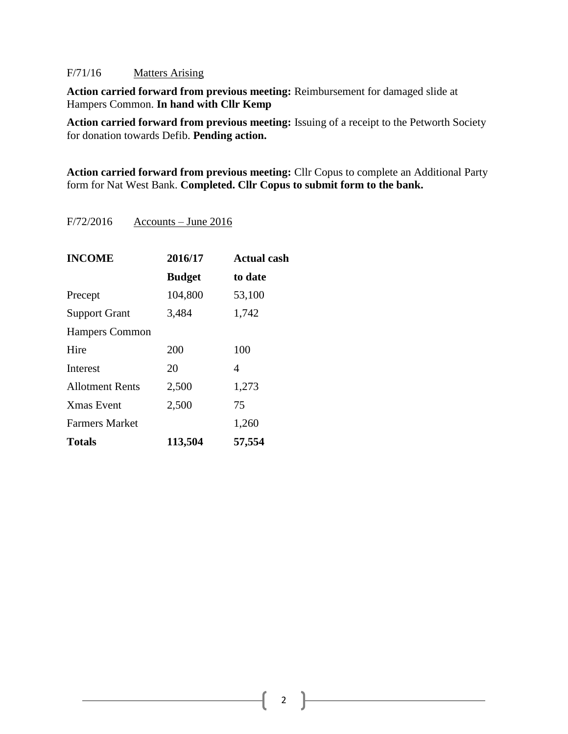#### F/71/16 Matters Arising

**Action carried forward from previous meeting:** Reimbursement for damaged slide at Hampers Common. **In hand with Cllr Kemp**

**Action carried forward from previous meeting:** Issuing of a receipt to the Petworth Society for donation towards Defib. **Pending action.**

**Action carried forward from previous meeting:** Cllr Copus to complete an Additional Party form for Nat West Bank. **Completed. Cllr Copus to submit form to the bank.**

F/72/2016 Accounts – June 2016

| <b>INCOME</b>          | 2016/17       | <b>Actual cash</b> |
|------------------------|---------------|--------------------|
|                        | <b>Budget</b> | to date            |
| Precept                | 104,800       | 53,100             |
| <b>Support Grant</b>   | 3,484         | 1,742              |
| <b>Hampers Common</b>  |               |                    |
| Hire                   | 200           | 100                |
| Interest               | 20            | 4                  |
| <b>Allotment Rents</b> | 2,500         | 1,273              |
| <b>Xmas</b> Event      | 2,500         | 75                 |
| <b>Farmers Market</b>  |               | 1,260              |
| <b>Totals</b>          | 113,504       | 57,554             |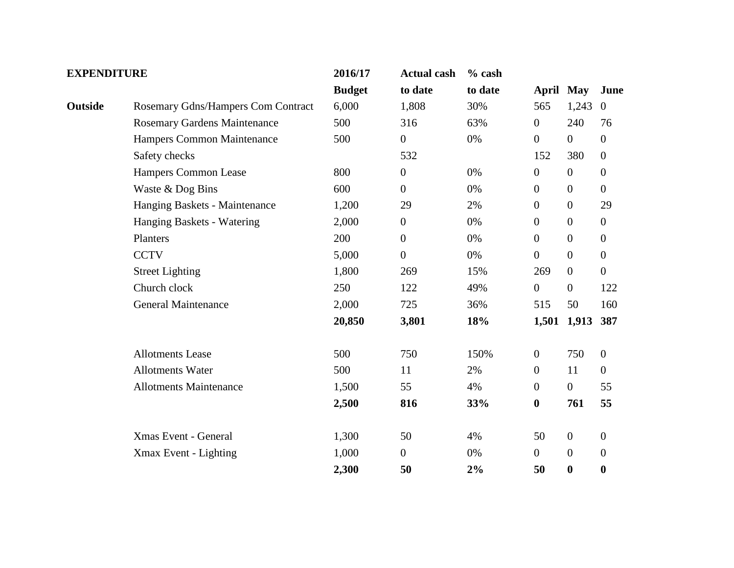| <b>EXPENDITURE</b>  |                                     | 2016/17       | <b>Actual cash</b> | $%$ cash |                |                  |                  |
|---------------------|-------------------------------------|---------------|--------------------|----------|----------------|------------------|------------------|
|                     |                                     | <b>Budget</b> | to date            | to date  |                | April May        | June             |
| Outside             | Rosemary Gdns/Hampers Com Contract  | 6,000         | 1,808              | 30%      | 565            | 1,243            | $\overline{0}$   |
|                     | <b>Rosemary Gardens Maintenance</b> | 500           | 316                | 63%      | $\mathbf{0}$   | 240              | 76               |
|                     | Hampers Common Maintenance          | 500           | $\overline{0}$     | 0%       | $\overline{0}$ | $\overline{0}$   | $\overline{0}$   |
|                     | Safety checks                       |               | 532                |          | 152            | 380              | $\overline{0}$   |
|                     | Hampers Common Lease                | 800           | $\boldsymbol{0}$   | 0%       | $\mathbf{0}$   | $\overline{0}$   | $\boldsymbol{0}$ |
|                     | Waste & Dog Bins                    | 600           | $\overline{0}$     | 0%       | $\mathbf{0}$   | $\boldsymbol{0}$ | $\boldsymbol{0}$ |
|                     | Hanging Baskets - Maintenance       | 1,200         | 29                 | 2%       | $\overline{0}$ | $\boldsymbol{0}$ | 29               |
|                     | Hanging Baskets - Watering          | 2,000         | $\overline{0}$     | 0%       | $\overline{0}$ | $\overline{0}$   | $\boldsymbol{0}$ |
|                     | Planters                            | 200           | $\mathbf{0}$       | 0%       | $\overline{0}$ | $\boldsymbol{0}$ | $\boldsymbol{0}$ |
|                     | <b>CCTV</b>                         | 5,000         | $\mathbf{0}$       | 0%       | $\overline{0}$ | $\overline{0}$   | $\overline{0}$   |
|                     | <b>Street Lighting</b>              | 1,800         | 269                | 15%      | 269            | $\overline{0}$   | $\boldsymbol{0}$ |
|                     | Church clock                        | 250           | 122                | 49%      | $\overline{0}$ | $\boldsymbol{0}$ | 122              |
| General Maintenance |                                     | 2,000         | 725                | 36%      | 515            | 50               | 160              |
|                     |                                     | 20,850        | 3,801              | 18%      | 1,501          | 1,913            | 387              |
|                     | <b>Allotments Lease</b>             | 500           | 750                | 150%     | $\overline{0}$ | 750              | $\overline{0}$   |
|                     | <b>Allotments Water</b>             | 500           | 11                 | 2%       | $\mathbf{0}$   | 11               | $\overline{0}$   |
|                     | <b>Allotments Maintenance</b>       | 1,500         | 55                 | 4%       | $\overline{0}$ | $\boldsymbol{0}$ | 55               |
|                     |                                     | 2,500         | 816                | 33%      | $\bf{0}$       | 761              | 55               |
|                     | Xmas Event - General                | 1,300         | 50                 | 4%       | 50             | $\mathbf{0}$     | $\mathbf{0}$     |
|                     | Xmax Event - Lighting               | 1,000         | $\overline{0}$     | $0\%$    | $\overline{0}$ | $\boldsymbol{0}$ | $\boldsymbol{0}$ |
|                     |                                     | 2,300         | 50                 | 2%       | 50             | $\boldsymbol{0}$ | $\boldsymbol{0}$ |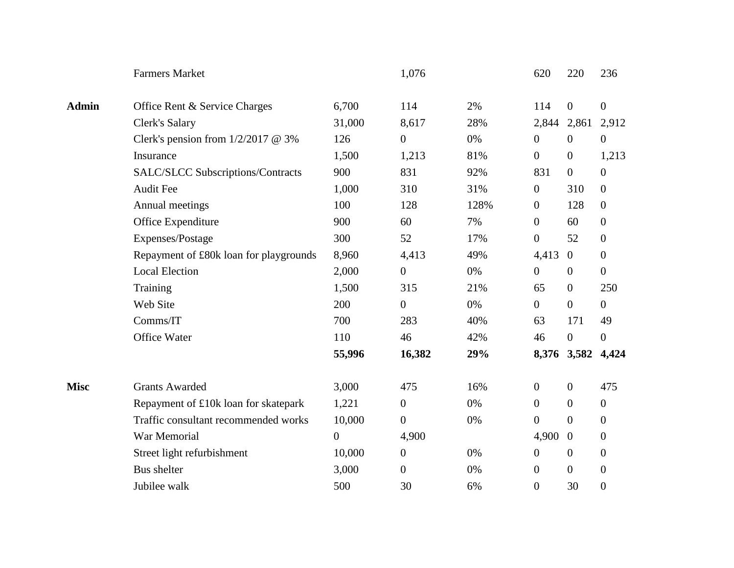|              | <b>Farmers Market</b>                  |                  | 1,076            |       | 620              | 220              | 236              |
|--------------|----------------------------------------|------------------|------------------|-------|------------------|------------------|------------------|
| <b>Admin</b> | Office Rent & Service Charges          | 6,700            | 114              | 2%    | 114              | $\overline{0}$   | $\boldsymbol{0}$ |
|              | <b>Clerk's Salary</b>                  | 31,000           | 8,617            | 28%   | 2,844            | 2,861            | 2,912            |
|              | Clerk's pension from $1/2/2017$ @ 3%   | 126              | $\overline{0}$   | 0%    | $\mathbf{0}$     | $\overline{0}$   | $\boldsymbol{0}$ |
|              | Insurance                              | 1,500            | 1,213            | 81%   | $\mathbf{0}$     | $\overline{0}$   | 1,213            |
|              | SALC/SLCC Subscriptions/Contracts      | 900              | 831              | 92%   | 831              | $\overline{0}$   | $\boldsymbol{0}$ |
|              | <b>Audit Fee</b>                       | 1,000            | 310              | 31%   | $\overline{0}$   | 310              | $\overline{0}$   |
|              | Annual meetings                        | 100              | 128              | 128%  | $\overline{0}$   | 128              | $\overline{0}$   |
|              | Office Expenditure                     | 900              | 60               | 7%    | $\mathbf{0}$     | 60               | $\mathbf{0}$     |
|              | Expenses/Postage                       | 300              | 52               | 17%   | $\mathbf{0}$     | 52               | $\mathbf{0}$     |
|              | Repayment of £80k loan for playgrounds | 8,960            | 4,413            | 49%   | 4,413            | $\mathbf{0}$     | $\overline{0}$   |
|              | <b>Local Election</b>                  | 2,000            | $\mathbf{0}$     | 0%    | $\mathbf{0}$     | $\overline{0}$   | $\mathbf{0}$     |
|              | Training                               | 1,500            | 315              | 21%   | 65               | $\boldsymbol{0}$ | 250              |
|              | Web Site                               | 200              | $\mathbf{0}$     | 0%    | $\overline{0}$   | $\overline{0}$   | $\boldsymbol{0}$ |
|              | Comms/IT                               | 700              | 283              | 40%   | 63               | 171              | 49               |
|              | Office Water                           | 110              | 46               | 42%   | 46               | $\boldsymbol{0}$ | $\boldsymbol{0}$ |
|              |                                        | 55,996           | 16,382           | 29%   |                  | 8,376 3,582      | 4,424            |
| <b>Misc</b>  | <b>Grants Awarded</b>                  | 3,000            | 475              | 16%   | $\overline{0}$   | $\mathbf{0}$     | 475              |
|              | Repayment of £10k loan for skatepark   | 1,221            | $\overline{0}$   | 0%    | $\overline{0}$   | $\theta$         | $\theta$         |
|              | Traffic consultant recommended works   | 10,000           | $\boldsymbol{0}$ | 0%    | $\overline{0}$   | $\overline{0}$   | $\theta$         |
|              | War Memorial                           | $\boldsymbol{0}$ | 4,900            |       | 4,900            | $\theta$         | $\overline{0}$   |
|              | Street light refurbishment             | 10,000           | $\boldsymbol{0}$ | $0\%$ | $\boldsymbol{0}$ | $\overline{0}$   | $\boldsymbol{0}$ |
|              | <b>Bus shelter</b>                     | 3,000            | $\overline{0}$   | 0%    | $\boldsymbol{0}$ | $\overline{0}$   | $\boldsymbol{0}$ |
|              | Jubilee walk                           | 500              | 30               | 6%    | $\overline{0}$   | 30               | $\overline{0}$   |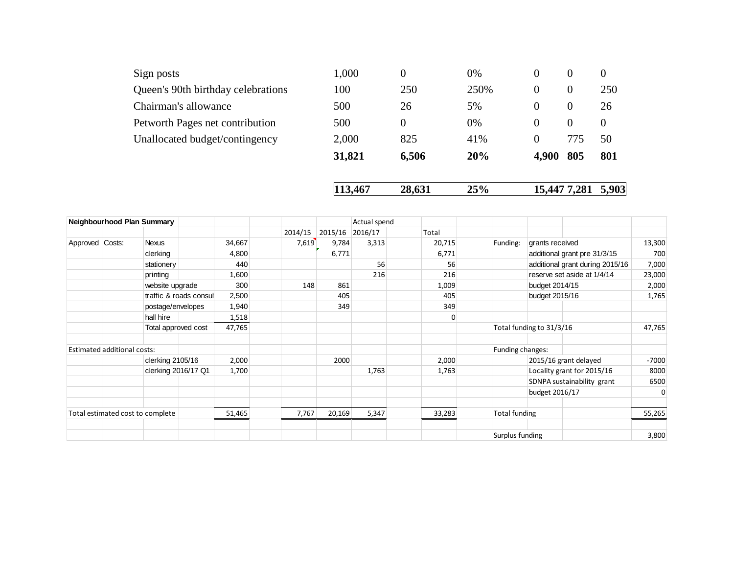|                                    | 113,467 | 28,631 | 25%  |          | 15,447 7,281   | 5,903    |
|------------------------------------|---------|--------|------|----------|----------------|----------|
|                                    | 31,821  | 6,506  | 20%  | 4,900    | 805            | 801      |
| Unallocated budget/contingency     | 2,000   | 825    | 41%  | $\theta$ | 775            | 50       |
| Petworth Pages net contribution    | 500     | 0      | 0%   | $\theta$ | $\overline{0}$ | $\theta$ |
| Chairman's allowance               | 500     | 26     | 5%   | $\theta$ | $\overline{0}$ | 26       |
| Queen's 90th birthday celebrations | 100     | 250    | 250% | $\theta$ | $\theta$       | 250      |
| Sign posts                         | 1,000   | 0      | 0%   | $\theta$ | $\overline{0}$ | $\theta$ |

|                 |                             | Neighbourhood Plan Summary       |                        |        |         |         | Actual spend |        |                      |                          |                                 |          |
|-----------------|-----------------------------|----------------------------------|------------------------|--------|---------|---------|--------------|--------|----------------------|--------------------------|---------------------------------|----------|
|                 |                             |                                  |                        |        | 2014/15 | 2015/16 | 2016/17      | Total  |                      |                          |                                 |          |
| Approved Costs: |                             | <b>Nexus</b>                     |                        | 34,667 | 7,619   | 9,784   | 3,313        | 20,715 | Funding:             | grants received          |                                 | 13,300   |
|                 |                             | clerking                         |                        | 4,800  |         | 6,771   |              | 6,771  |                      |                          | additional grant pre 31/3/15    | 700      |
|                 |                             | stationery                       |                        | 440    |         |         | 56           | 56     |                      |                          | additional grant during 2015/16 | 7,000    |
|                 |                             | printing                         |                        | 1,600  |         |         | 216          | 216    |                      |                          | reserve set aside at 1/4/14     | 23,000   |
|                 |                             | website upgrade                  |                        | 300    | 148     | 861     |              | 1,009  |                      | budget 2014/15           |                                 | 2,000    |
|                 |                             |                                  | traffic & roads consul | 2,500  |         | 405     |              | 405    |                      | budget 2015/16           |                                 | 1,765    |
|                 |                             | postage/envelopes                |                        | 1,940  |         | 349     |              | 349    |                      |                          |                                 |          |
|                 |                             | hall hire                        |                        | 1,518  |         |         |              | 0      |                      |                          |                                 |          |
|                 |                             | Total approved cost              |                        | 47,765 |         |         |              |        |                      | Total funding to 31/3/16 |                                 | 47,765   |
|                 | Estimated additional costs: |                                  |                        |        |         |         |              |        | Funding changes:     |                          |                                 |          |
|                 |                             | clerking 2105/16                 |                        | 2,000  |         | 2000    |              | 2,000  |                      |                          | 2015/16 grant delayed           | $-7000$  |
|                 |                             | clerking 2016/17 Q1              |                        | 1,700  |         |         | 1,763        | 1,763  |                      |                          | Locality grant for 2015/16      | 8000     |
|                 |                             |                                  |                        |        |         |         |              |        |                      |                          | SDNPA sustainability grant      | 6500     |
|                 |                             |                                  |                        |        |         |         |              |        |                      | budget 2016/17           |                                 | $\Omega$ |
|                 |                             | Total estimated cost to complete |                        | 51,465 | 7,767   | 20,169  | 5,347        | 33,283 | <b>Total funding</b> |                          |                                 | 55,265   |
|                 |                             |                                  |                        |        |         |         |              |        |                      |                          |                                 |          |
|                 |                             |                                  |                        |        |         |         |              |        | Surplus funding      |                          |                                 | 3,800    |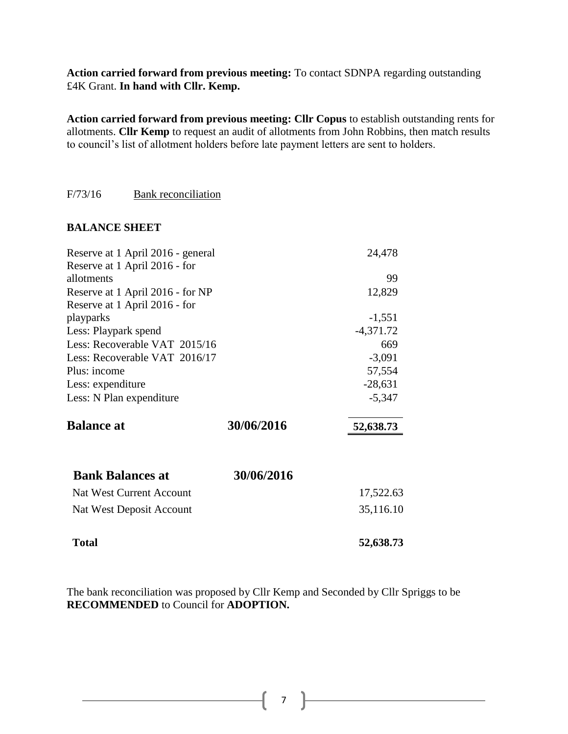**Action carried forward from previous meeting:** To contact SDNPA regarding outstanding £4K Grant. **In hand with Cllr. Kemp.**

**Action carried forward from previous meeting: Cllr Copus** to establish outstanding rents for allotments. **Cllr Kemp** to request an audit of allotments from John Robbins, then match results to council's list of allotment holders before late payment letters are sent to holders.

#### F/73/16 Bank reconciliation

#### **BALANCE SHEET**

| Reserve at 1 April 2016 - general |            | 24,478      |
|-----------------------------------|------------|-------------|
| Reserve at 1 April 2016 - for     |            |             |
| allotments                        |            | 99          |
| Reserve at 1 April 2016 - for NP  |            | 12,829      |
| Reserve at 1 April 2016 - for     |            |             |
| playparks                         |            | $-1,551$    |
| Less: Playpark spend              |            | $-4,371.72$ |
| Less: Recoverable VAT 2015/16     |            | 669         |
| Less: Recoverable VAT 2016/17     |            | $-3,091$    |
| Plus: income                      |            | 57,554      |
| Less: expenditure                 |            | $-28,631$   |
| Less: N Plan expenditure          |            | $-5,347$    |
| <b>Balance at</b>                 | 30/06/2016 | 52,638.73   |
| <b>Bank Balances at</b>           | 30/06/2016 |             |
| <b>Nat West Current Account</b>   |            | 17,522.63   |
| Nat West Deposit Account          |            | 35,116.10   |
| <b>Total</b>                      |            | 52,638.73   |

The bank reconciliation was proposed by Cllr Kemp and Seconded by Cllr Spriggs to be **RECOMMENDED** to Council for **ADOPTION.**

7 }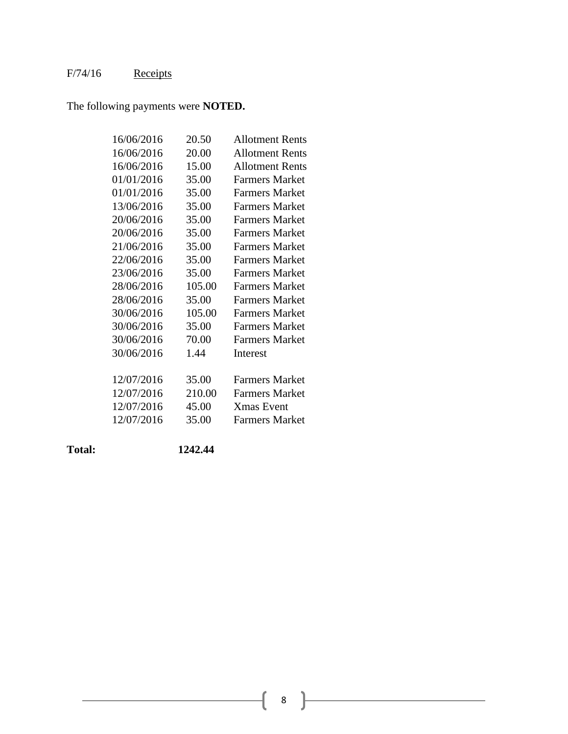## F/74/16 Receipts

The following payments were **NOTED.**

| 16/06/2016 | 20.50  | <b>Allotment Rents</b> |
|------------|--------|------------------------|
| 16/06/2016 | 20.00  | <b>Allotment Rents</b> |
| 16/06/2016 | 15.00  | <b>Allotment Rents</b> |
| 01/01/2016 | 35.00  | <b>Farmers Market</b>  |
| 01/01/2016 | 35.00  | <b>Farmers Market</b>  |
| 13/06/2016 | 35.00  | <b>Farmers Market</b>  |
| 20/06/2016 | 35.00  | <b>Farmers Market</b>  |
| 20/06/2016 | 35.00  | <b>Farmers Market</b>  |
| 21/06/2016 | 35.00  | <b>Farmers Market</b>  |
| 22/06/2016 | 35.00  | <b>Farmers Market</b>  |
| 23/06/2016 | 35.00  | <b>Farmers Market</b>  |
| 28/06/2016 | 105.00 | <b>Farmers Market</b>  |
| 28/06/2016 | 35.00  | <b>Farmers Market</b>  |
| 30/06/2016 | 105.00 | <b>Farmers Market</b>  |
| 30/06/2016 | 35.00  | <b>Farmers Market</b>  |
| 30/06/2016 | 70.00  | <b>Farmers Market</b>  |
| 30/06/2016 | 1.44   | Interest               |
|            |        |                        |
| 12/07/2016 | 35.00  | <b>Farmers Market</b>  |
| 12/07/2016 | 210.00 | <b>Farmers Market</b>  |
| 12/07/2016 | 45.00  | <b>Xmas</b> Event      |
| 12/07/2016 | 35.00  | <b>Farmers Market</b>  |
|            |        |                        |

**Total: 1242.44**

 $\mathcal{L}^{\text{max}}_{\text{max}}$  and  $\mathcal{L}^{\text{max}}_{\text{max}}$  and  $\mathcal{L}^{\text{max}}_{\text{max}}$